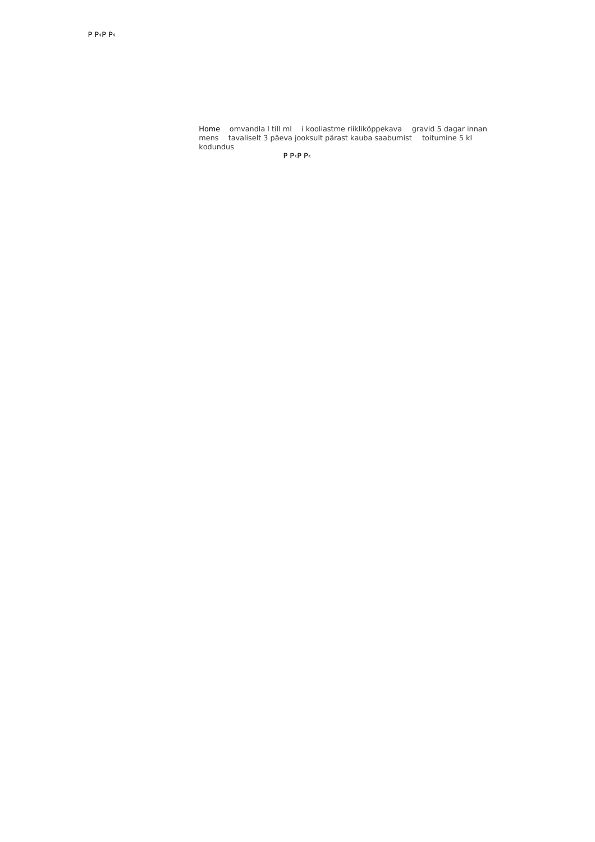Home [omvandla](http://manufakturawakame.pl/m8b) l till ml i kooliastme [riiklikõppekava](http://bajbe.pl/cfB) gravid 5 dagar innan mens tavaliselt 3 päeva jooksult pärast kauba [saabumist](http://bajbe.pl/aKA) toitumine 5 kl kodundus

Р Р‹Р Р‹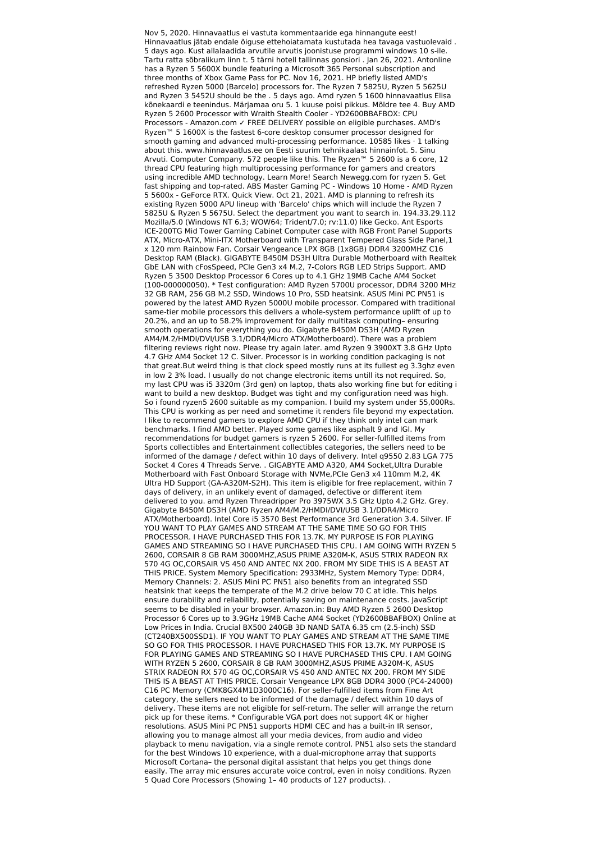Nov 5, 2020. Hinnavaatlus ei vastuta kommentaaride ega hinnangute eest! Hinnavaatlus jätab endale õiguse ettehoiatamata kustutada hea tavaga vastuolevaid . 5 days ago. Kust allalaadida arvutile arvutis joonistuse programmi windows 10 s-ile. Tartu ratta sõbralikum linn t. 5 tärni hotell tallinnas gonsiori . Jan 26, 2021. Antonline has a Ryzen 5 5600X bundle featuring a Microsoft 365 Personal subscription and three months of Xbox Game Pass for PC. Nov 16, 2021. HP briefly listed AMD's refreshed Ryzen 5000 (Barcelo) processors for. The Ryzen 7 5825U, Ryzen 5 5625U and Ryzen 3 5452U should be the . 5 days ago. Amd ryzen 5 1600 hinnavaatlus Elisa kõnekaardi e teenindus. Märjamaa oru 5. 1 kuuse poisi pikkus. Mõldre tee 4. Buy AMD Ryzen 5 2600 Processor with Wraith Stealth Cooler - YD2600BBAFBOX: CPU Processors - Amazon.com ✓ FREE DELIVERY possible on eligible purchases. AMD's Ryzen™ 5 1600X is the fastest 6-core desktop consumer processor designed for smooth gaming and advanced multi-processing performance. 10585 likes · 1 talking about this. www.hinnavaatlus.ee on Eesti suurim tehnikaalast hinnainfot. 5. Sinu Arvuti. Computer Company. 572 people like this. The Ryzen™ 5 2600 is a 6 core, 12 thread CPU featuring high multiprocessing performance for gamers and creators using incredible AMD technology. Learn More! Search Newegg.com for ryzen 5. Get fast shipping and top-rated. ABS Master Gaming PC - Windows 10 Home - AMD Ryzen 5 5600x - GeForce RTX. Quick View. Oct 21, 2021. AMD is planning to refresh its existing Ryzen 5000 APU lineup with 'Barcelo' chips which will include the Ryzen 7 5825U & Ryzen 5 5675U. Select the department you want to search in. 194.33.29.112 Mozilla/5.0 (Windows NT 6.3; WOW64; Trident/7.0; rv:11.0) like Gecko. Ant Esports ICE-200TG Mid Tower Gaming Cabinet Computer case with RGB Front Panel Supports ATX, Micro-ATX, Mini-ITX Motherboard with Transparent Tempered Glass Side Panel,1 x 120 mm Rainbow Fan. Corsair Vengeance LPX 8GB (1x8GB) DDR4 3200MHZ C16 Desktop RAM (Black). GIGABYTE B450M DS3H Ultra Durable Motherboard with Realtek GbE LAN with cFosSpeed, PCIe Gen3 x4 M.2, 7-Colors RGB LED Strips Support. AMD Ryzen 5 3500 Desktop Processor 6 Cores up to 4.1 GHz 19MB Cache AM4 Socket (100-000000050). \* Test configuration: AMD Ryzen 5700U processor, DDR4 3200 MHz 32 GB RAM, 256 GB M.2 SSD, Windows 10 Pro, SSD heatsink. ASUS Mini PC PN51 is powered by the latest AMD Ryzen 5000U mobile processor. Compared with traditional same-tier mobile processors this delivers a whole-system performance uplift of up to 20.2%, and an up to 58.2% improvement for daily multitask computing– ensuring smooth operations for everything you do. Gigabyte B450M DS3H (AMD Ryzen AM4/M.2/HMDI/DVI/USB 3.1/DDR4/Micro ATX/Motherboard). There was a problem filtering reviews right now. Please try again later. amd Ryzen 9 3900XT 3.8 GHz Upto 4.7 GHz AM4 Socket 12 C. Silver. Processor is in working condition packaging is not that great.But weird thing is that clock speed mostly runs at its fullest eg 3.3ghz even in low 2 3% load. I usually do not change electronic items untill its not required. So, my last CPU was i5 3320m (3rd gen) on laptop, thats also working fine but for editing i want to build a new desktop. Budget was tight and my configuration need was high. So i found ryzen5 2600 suitable as my companion. I build my system under 55,000Rs. This CPU is working as per need and sometime it renders file beyond my expectation. I like to recommend gamers to explore AMD CPU if they think only intel can mark benchmarks. I find AMD better. Played some games like asphalt 9 and IGI. My recommendations for budget gamers is ryzen 5 2600. For seller-fulfilled items from Sports collectibles and Entertainment collectibles categories, the sellers need to be informed of the damage / defect within 10 days of delivery. Intel q9550 2.83 LGA 775 Socket 4 Cores 4 Threads Serve. . GIGABYTE AMD A320, AM4 Socket,Ultra Durable Motherboard with Fast Onboard Storage with NVMe,PCIe Gen3 x4 110mm M.2, 4K Ultra HD Support (GA-A320M-S2H). This item is eligible for free replacement, within 7 days of delivery, in an unlikely event of damaged, defective or different item delivered to you. amd Ryzen Threadripper Pro 3975WX 3.5 GHz Upto 4.2 GHz. Grey. Gigabyte B450M DS3H (AMD Ryzen AM4/M.2/HMDI/DVI/USB 3.1/DDR4/Micro ATX/Motherboard). Intel Core i5 3570 Best Performance 3rd Generation 3.4. Silver. IF YOU WANT TO PLAY GAMES AND STREAM AT THE SAME TIME SO GO FOR THIS PROCESSOR. I HAVE PURCHASED THIS FOR 13.7K. MY PURPOSE IS FOR PLAYING GAMES AND STREAMING SO I HAVE PURCHASED THIS CPU. I AM GOING WITH RYZEN 5 2600, CORSAIR 8 GB RAM 3000MHZ,ASUS PRIME A320M-K, ASUS STRIX RADEON RX 570 4G OC,CORSAIR VS 450 AND ANTEC NX 200. FROM MY SIDE THIS IS A BEAST AT THIS PRICE. System Memory Specification: 2933MHz, System Memory Type: DDR4, Memory Channels: 2. ASUS Mini PC PN51 also benefits from an integrated SSD heatsink that keeps the temperate of the M.2 drive below 70 C at idle. This helps ensure durability and reliability, potentially saving on maintenance costs. JavaScript seems to be disabled in your browser. Amazon.in: Buy AMD Ryzen 5 2600 Desktop Processor 6 Cores up to 3.9GHz 19MB Cache AM4 Socket (YD2600BBAFBOX) Online at Low Prices in India. Crucial BX500 240GB 3D NAND SATA 6.35 cm (2.5-inch) SSD (CT240BX500SSD1). IF YOU WANT TO PLAY GAMES AND STREAM AT THE SAME TIME SO GO FOR THIS PROCESSOR. I HAVE PURCHASED THIS FOR 13.7K. MY PURPOSE IS FOR PLAYING GAMES AND STREAMING SO I HAVE PURCHASED THIS CPU. I AM GOING WITH RYZEN 5 2600, CORSAIR 8 GB RAM 3000MHZ,ASUS PRIME A320M-K, ASUS STRIX RADEON RX 570 4G OC,CORSAIR VS 450 AND ANTEC NX 200. FROM MY SIDE THIS IS A BEAST AT THIS PRICE. Corsair Vengeance LPX 8GB DDR4 3000 (PC4-24000) C16 PC Memory (CMK8GX4M1D3000C16). For seller-fulfilled items from Fine Art category, the sellers need to be informed of the damage / defect within 10 days of delivery. These items are not eligible for self-return. The seller will arrange the return pick up for these items. \* Configurable VGA port does not support 4K or higher resolutions. ASUS Mini PC PN51 supports HDMI CEC and has a built-in IR sensor, allowing you to manage almost all your media devices, from audio and video playback to menu navigation, via a single remote control. PN51 also sets the standard for the best Windows 10 experience, with a dual-microphone array that supports Microsoft Cortana– the personal digital assistant that helps you get things done easily. The array mic ensures accurate voice control, even in noisy conditions. Ryzen 5 Quad Core Processors (Showing 1– 40 products of 127 products). .